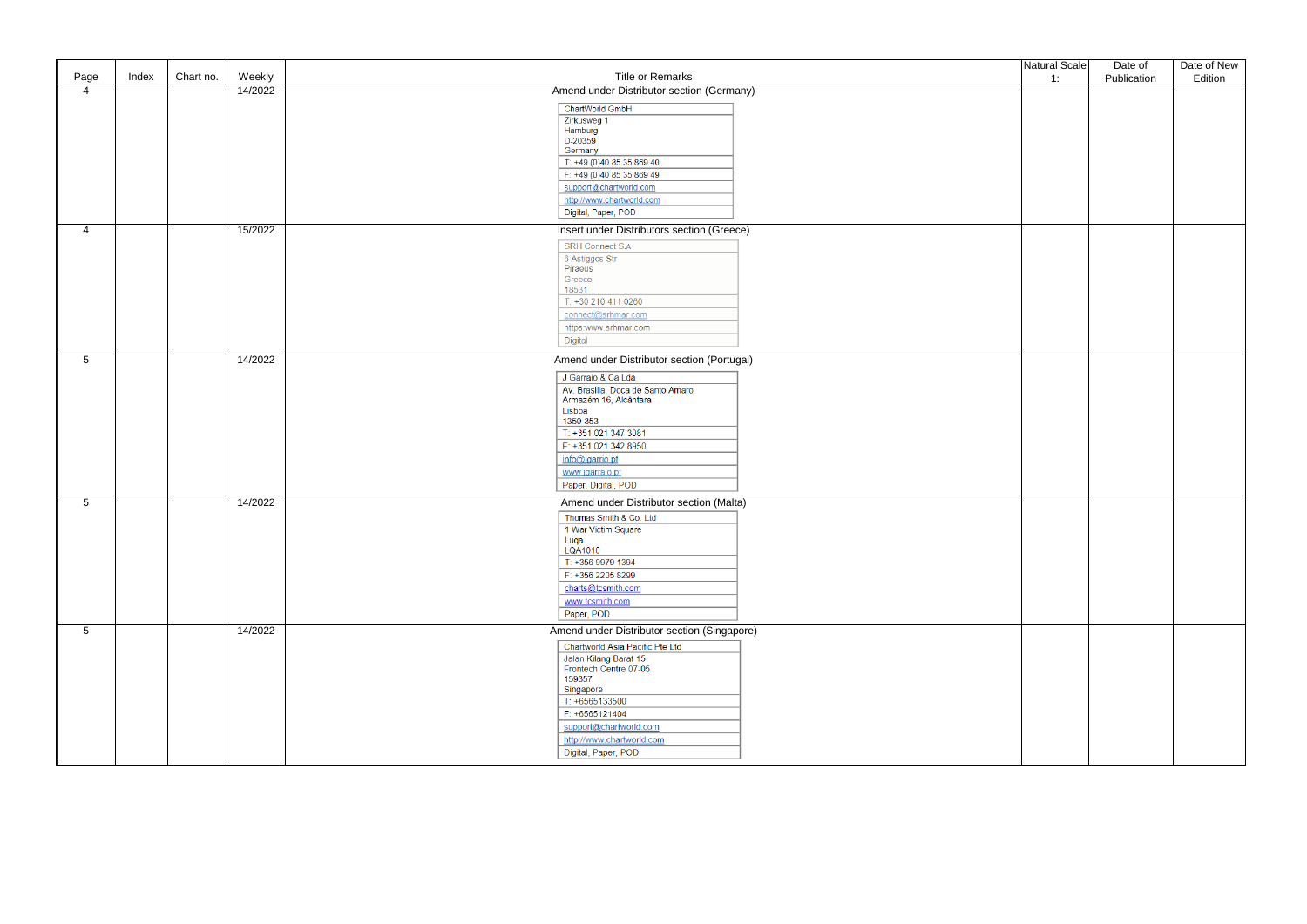| Page            | Index | Weekly<br>Chart no. | <b>Title or Remarks</b>                        | Natural Scale | Date of     | Date of New |
|-----------------|-------|---------------------|------------------------------------------------|---------------|-------------|-------------|
| $\overline{4}$  |       | 14/2022             | Amend under Distributor section (Germany)      | 1:            | Publication | Edition     |
|                 |       |                     | <b>ChartWorld GmbH</b>                         |               |             |             |
|                 |       |                     | Zirkusweg 1                                    |               |             |             |
|                 |       |                     | Hamburg                                        |               |             |             |
|                 |       |                     | D-20359<br>Germany                             |               |             |             |
|                 |       |                     | T: +49 (0)40 85 35 869 40                      |               |             |             |
|                 |       |                     | F: +49 (0)40 85 35 869 49                      |               |             |             |
|                 |       |                     | support@chartworld.com                         |               |             |             |
|                 |       |                     | http://www.chartworld.com                      |               |             |             |
|                 |       |                     | Digital, Paper, POD                            |               |             |             |
| 4               |       | 15/2022             | Insert under Distributors section (Greece)     |               |             |             |
|                 |       |                     | <b>SRH Connect S.A</b>                         |               |             |             |
|                 |       |                     | 6 Astiggos Str                                 |               |             |             |
|                 |       |                     | Piraeus<br>Greece                              |               |             |             |
|                 |       |                     | 18531                                          |               |             |             |
|                 |       |                     | T: +30 210 411 0260                            |               |             |             |
|                 |       |                     | connect@srhmar.com                             |               |             |             |
|                 |       |                     | https:www.srhmar.com                           |               |             |             |
|                 |       |                     | Digital                                        |               |             |             |
| $5\phantom{.0}$ |       | 14/2022             | Amend under Distributor section (Portugal)     |               |             |             |
|                 |       |                     | J Garraio & Ca Lda                             |               |             |             |
|                 |       |                     | Av. Brasilia, Doca de Santo Amaro              |               |             |             |
|                 |       |                     | Armazém 16, Alcântara<br>Lisboa                |               |             |             |
|                 |       |                     | 1350-353                                       |               |             |             |
|                 |       |                     | T: +351 021 347 3081                           |               |             |             |
|                 |       |                     | F: +351 021 342 8950                           |               |             |             |
|                 |       |                     | info@jgarrio.pt                                |               |             |             |
|                 |       |                     | www.jgarraio.pt                                |               |             |             |
|                 |       |                     | Paper, Digital, POD                            |               |             |             |
| $5\phantom{.0}$ |       | 14/2022             | Amend under Distributor section (Malta)        |               |             |             |
|                 |       |                     | Thomas Smith & Co. Ltd                         |               |             |             |
|                 |       |                     | 1 War Victim Square<br>Luqa                    |               |             |             |
|                 |       |                     | LQA1010                                        |               |             |             |
|                 |       |                     | T: +356 9979 1394                              |               |             |             |
|                 |       |                     | F: +356 2205 8299                              |               |             |             |
|                 |       |                     | charts@tcsmith.com                             |               |             |             |
|                 |       |                     | www.tcsmith.com                                |               |             |             |
|                 |       |                     | Paper, POD                                     |               |             |             |
| $5\overline{)}$ |       | 14/2022             | Amend under Distributor section (Singapore)    |               |             |             |
|                 |       |                     | Chartworld Asia Pacific Pte Ltd                |               |             |             |
|                 |       |                     | Jalan Kilang Barat 15<br>Frontech Centre 07-05 |               |             |             |
|                 |       |                     | 159357                                         |               |             |             |
|                 |       |                     | Singapore                                      |               |             |             |
|                 |       |                     | $T: +6565133500$<br>F: +6565121404             |               |             |             |
|                 |       |                     | support@chartworld.com                         |               |             |             |
|                 |       |                     | http://www.chartworld.com                      |               |             |             |
|                 |       |                     | Digital, Paper, POD                            |               |             |             |
|                 |       |                     |                                                |               |             |             |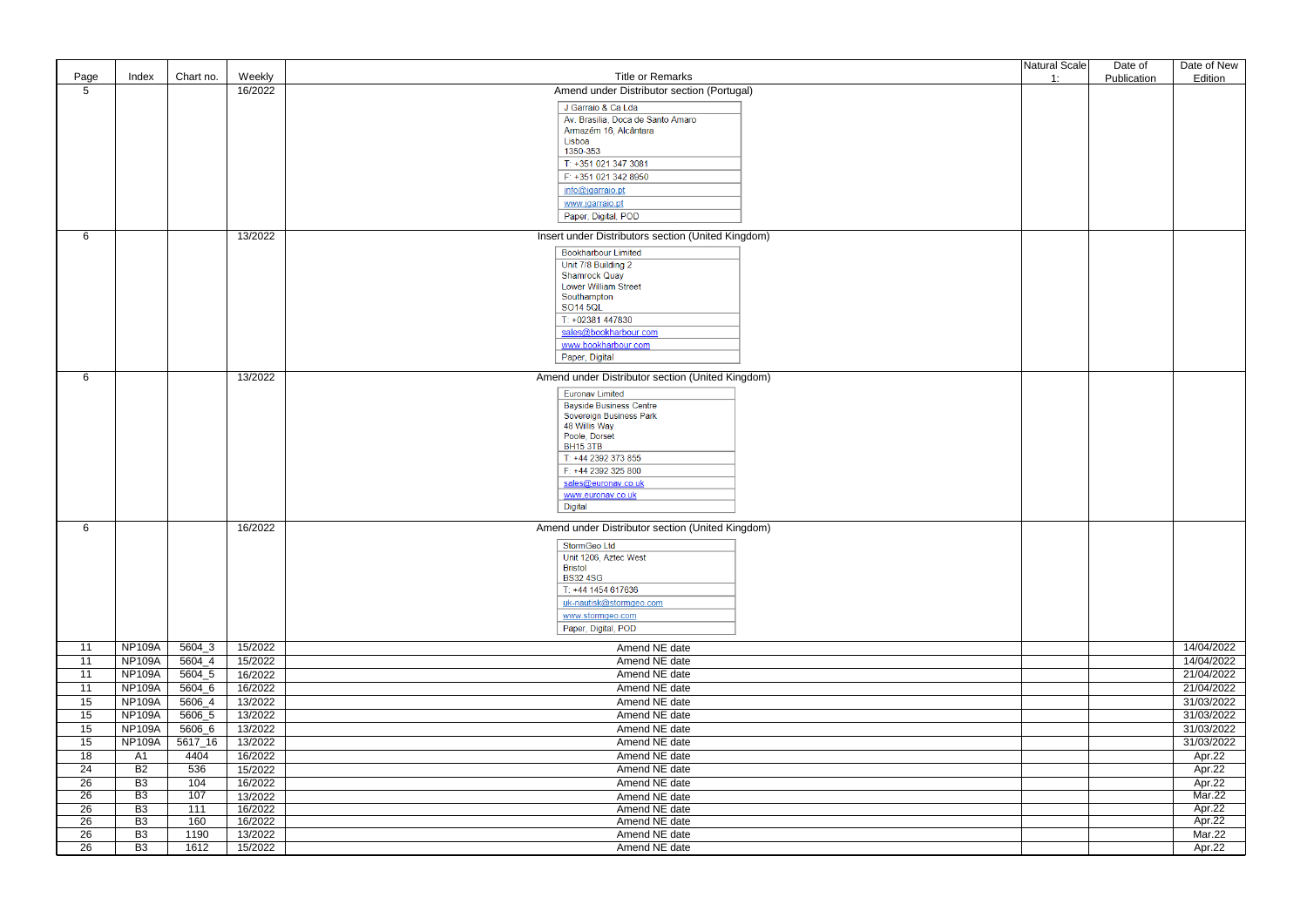|                 |                |           |         |                                                    | Natural Scale | Date of     | Date of New |
|-----------------|----------------|-----------|---------|----------------------------------------------------|---------------|-------------|-------------|
| Page            | Index          | Chart no. | Weekly  | <b>Title or Remarks</b>                            | 1:            | Publication | Edition     |
| $5\phantom{.0}$ |                |           | 16/2022 | Amend under Distributor section (Portugal)         |               |             |             |
|                 |                |           |         | J Garraio & Ca Lda                                 |               |             |             |
|                 |                |           |         | Av. Brasilia, Doca de Santo Amaro                  |               |             |             |
|                 |                |           |         | Armazém 16, Alcântara                              |               |             |             |
|                 |                |           |         | Lisboa<br>1350-353                                 |               |             |             |
|                 |                |           |         | T: +351 021 347 3081                               |               |             |             |
|                 |                |           |         | F: +351 021 342 8950                               |               |             |             |
|                 |                |           |         | info@jgarraio.pt                                   |               |             |             |
|                 |                |           |         | www.jgarraio.pt                                    |               |             |             |
|                 |                |           |         | Paper, Digital, POD                                |               |             |             |
| 6               |                |           | 13/2022 | Insert under Distributors section (United Kingdom) |               |             |             |
|                 |                |           |         | <b>Bookharbour Limited</b>                         |               |             |             |
|                 |                |           |         | Unit 7/8 Building 2                                |               |             |             |
|                 |                |           |         | <b>Shamrock Quay</b>                               |               |             |             |
|                 |                |           |         | Lower William Street<br>Southampton                |               |             |             |
|                 |                |           |         | <b>SO14 5QL</b>                                    |               |             |             |
|                 |                |           |         | T: +02381 447830                                   |               |             |             |
|                 |                |           |         | sales@bookharbour.com                              |               |             |             |
|                 |                |           |         | www.bookharbour.com                                |               |             |             |
|                 |                |           |         | Paper, Digital                                     |               |             |             |
| 6               |                |           | 13/2022 | Amend under Distributor section (United Kingdom)   |               |             |             |
|                 |                |           |         | <b>Euronav Limited</b>                             |               |             |             |
|                 |                |           |         | <b>Bayside Business Centre</b>                     |               |             |             |
|                 |                |           |         | Sovereign Business Park                            |               |             |             |
|                 |                |           |         | 48 Willis Way<br>Poole, Dorset                     |               |             |             |
|                 |                |           |         | <b>BH15 3TB</b>                                    |               |             |             |
|                 |                |           |         | T: +44 2392 373 855                                |               |             |             |
|                 |                |           |         | F: +44 2392 325 800                                |               |             |             |
|                 |                |           |         | sales@euronav.co.uk                                |               |             |             |
|                 |                |           |         | www.euronav.co.uk                                  |               |             |             |
|                 |                |           |         | Digital                                            |               |             |             |
| 6               |                |           | 16/2022 | Amend under Distributor section (United Kingdom)   |               |             |             |
|                 |                |           |         | StormGeo Ltd                                       |               |             |             |
|                 |                |           |         | Unit 1206, Aztec West                              |               |             |             |
|                 |                |           |         | <b>Bristol</b><br><b>BS32 4SG</b>                  |               |             |             |
|                 |                |           |         | T: +44 1454 617636                                 |               |             |             |
|                 |                |           |         | uk-nautisk@stormgeo.com                            |               |             |             |
|                 |                |           |         | www.stormgeo.com                                   |               |             |             |
|                 |                |           |         | Paper, Digital, POD                                |               |             |             |
| 11              | <b>NP109A</b>  | 5604_3    | 15/2022 | Amend NE date                                      |               |             | 14/04/2022  |
| 11              | <b>NP109A</b>  | 5604_4    | 15/2022 | Amend NE date                                      |               |             | 14/04/2022  |
| 11              | <b>NP109A</b>  | 5604_5    | 16/2022 | Amend NE date                                      |               |             | 21/04/2022  |
| 11              | <b>NP109A</b>  | 5604_6    | 16/2022 | Amend NE date                                      |               |             | 21/04/2022  |
| 15              | <b>NP109A</b>  | 5606_4    | 13/2022 | Amend NE date                                      |               |             | 31/03/2022  |
| 15              | <b>NP109A</b>  | 5606_5    | 13/2022 | Amend NE date                                      |               |             | 31/03/2022  |
| 15              | <b>NP109A</b>  | 5606_6    | 13/2022 | Amend NE date                                      |               |             | 31/03/2022  |
| 15              | <b>NP109A</b>  | 5617_16   | 13/2022 | Amend NE date                                      |               |             | 31/03/2022  |
| 18              | A1             | 4404      | 16/2022 | Amend NE date                                      |               |             | Apr.22      |
| 24              | B <sub>2</sub> | 536       | 15/2022 | Amend NE date                                      |               |             | Apr.22      |
| 26              | B <sub>3</sub> | 104       | 16/2022 | Amend NE date                                      |               |             | Apr.22      |
| $\overline{26}$ | B3             | 107       | 13/2022 | Amend NE date                                      |               |             | Mar.22      |
| 26              | B <sub>3</sub> | 111       | 16/2022 | Amend NE date                                      |               |             | Apr.22      |
| 26              | B <sub>3</sub> | 160       | 16/2022 | Amend NE date                                      |               |             | Apr.22      |
| 26              | B <sub>3</sub> | 1190      | 13/2022 | Amend NE date                                      |               |             | Mar.22      |
| 26              | B <sub>3</sub> | 1612      | 15/2022 | Amend NE date                                      |               |             | Apr.22      |
|                 |                |           |         |                                                    |               |             |             |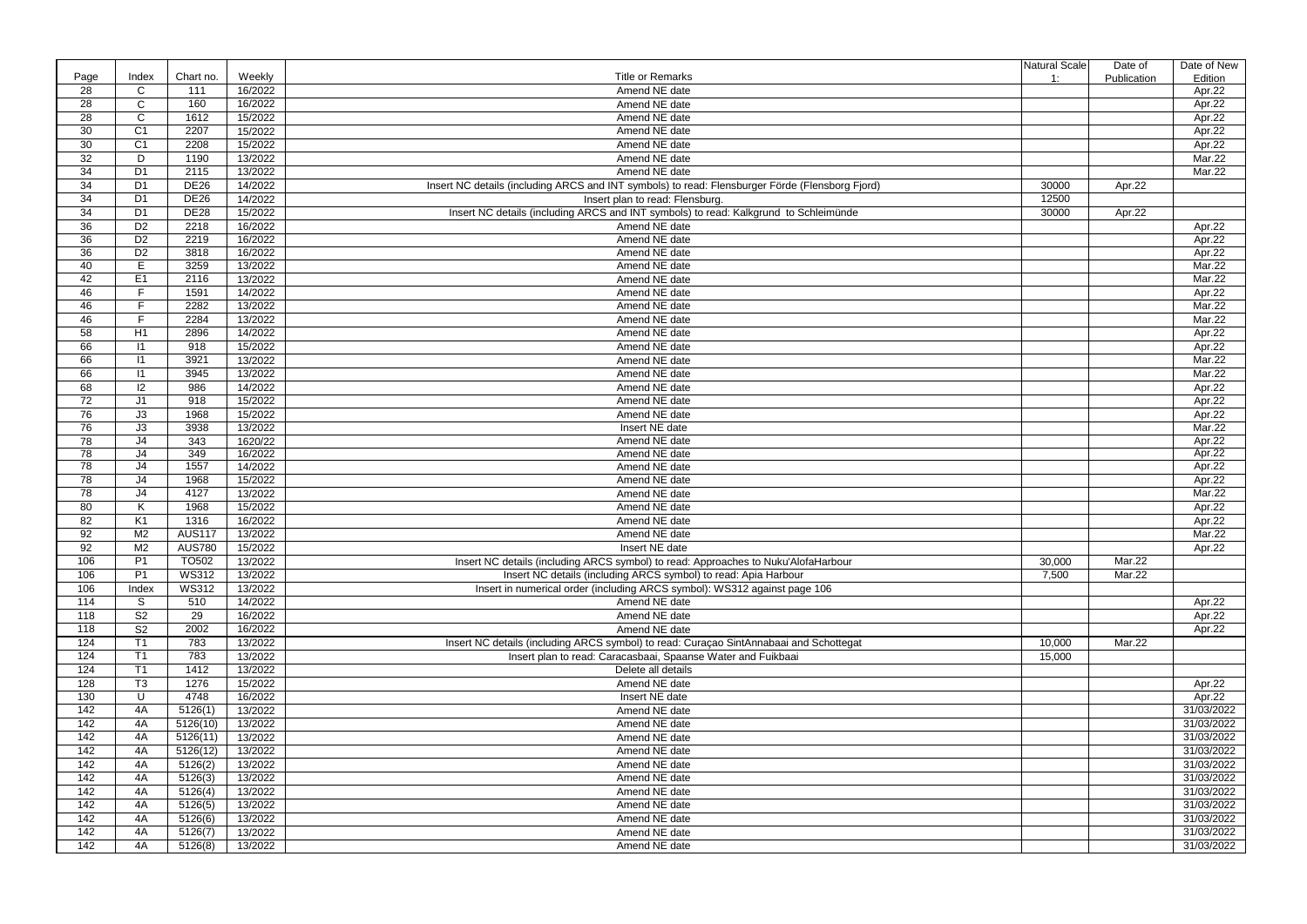|                 |                |                   |         |                                                                                                 | Natural Scale       | Date of     | Date of New   |
|-----------------|----------------|-------------------|---------|-------------------------------------------------------------------------------------------------|---------------------|-------------|---------------|
| Page            | Index          | Chart no.         | Weekly  | <b>Title or Remarks</b>                                                                         | 1:                  | Publication | Edition       |
| 28              | C              | 111               | 16/2022 | Amend NE date                                                                                   |                     |             | Apr.22        |
| 28              | $\mathsf{C}$   | 160               | 16/2022 | Amend NE date                                                                                   |                     |             | Apr.22        |
| 28              | $\mathsf C$    | 1612              | 15/2022 | Amend NE date                                                                                   |                     |             | Apr.22        |
| 30              | C <sub>1</sub> | 2207              | 15/2022 | Amend NE date                                                                                   |                     |             | Apr.22        |
| 30              | C <sub>1</sub> | 2208              | 15/2022 | Amend NE date                                                                                   |                     |             | Apr.22        |
| 32              | D              | 1190              | 13/2022 | Amend NE date                                                                                   |                     |             | Mar.22        |
| 34              | D <sub>1</sub> | 2115              | 13/2022 | Amend NE date                                                                                   |                     |             | Mar.22        |
| 34              | D <sub>1</sub> | <b>DE26</b>       | 14/2022 | Insert NC details (including ARCS and INT symbols) to read: Flensburger Förde (Flensborg Fjord) | 30000               | Apr.22      |               |
| 34              | D <sub>1</sub> | <b>DE26</b>       | 14/2022 | Insert plan to read: Flensburg.                                                                 | 12500               |             |               |
| 34              |                | <b>DE28</b>       |         |                                                                                                 | 30000               |             |               |
|                 | D <sub>1</sub> |                   | 15/2022 | Insert NC details (including ARCS and INT symbols) to read: Kalkgrund to Schleimünde            |                     | Apr.22      |               |
| 36              | D <sub>2</sub> | 2218              | 16/2022 | Amend NE date                                                                                   |                     |             | Apr.22        |
| 36              | D <sub>2</sub> | 2219              | 16/2022 | Amend NE date                                                                                   |                     |             | Apr.22        |
| 36              | D <sub>2</sub> | 3818              | 16/2022 | Amend NE date                                                                                   |                     |             | Apr.22        |
| 40              | E              | 3259              | 13/2022 | Amend NE date                                                                                   |                     |             | Mar.22        |
| 42              | E <sub>1</sub> | 2116              | 13/2022 | Amend NE date                                                                                   |                     |             | Mar.22        |
| 46              |                | 1591              | 14/2022 | Amend NE date                                                                                   |                     |             | Apr.22        |
| 46              |                | 2282              | 13/2022 | Amend NE date                                                                                   |                     |             | Mar.22        |
| 46              | F              | 2284              | 13/2022 | Amend NE date                                                                                   |                     |             | Mar.22        |
| 58              | H1             | 2896              | 14/2022 | Amend NE date                                                                                   |                     |             | Apr.22        |
| 66              | $\vert$ 11     | 918               | 15/2022 | Amend NE date                                                                                   |                     |             | Apr.22        |
| 66              | $\vert$ 11     | 3921              | 13/2022 | Amend NE date                                                                                   |                     |             | Mar.22        |
| 66              | $\vert$ 11     | 3945              | 13/2022 | Amend NE date                                                                                   |                     |             | Mar.22        |
| 68              | 12             | 986               | 14/2022 | Amend NE date                                                                                   |                     |             | Apr.22        |
| 72              | J <sub>1</sub> | 918               | 15/2022 | Amend NE date                                                                                   |                     |             | Apr.22        |
| 76              | J3             | 1968              | 15/2022 | Amend NE date                                                                                   |                     |             | Apr.22        |
| 76              | J3             | 3938              |         |                                                                                                 |                     |             | <b>Mar.22</b> |
|                 |                |                   | 13/2022 | Insert NE date                                                                                  |                     |             |               |
| 78              | J <sub>4</sub> | 343               | 1620/22 | Amend NE date                                                                                   |                     |             | Apr.22        |
| 78              | J <sub>4</sub> | 349<br>1557       | 16/2022 | Amend NE date                                                                                   |                     |             | Apr.22        |
| 78              | J <sub>4</sub> |                   | 14/2022 | Amend NE date                                                                                   |                     |             | Apr.22        |
| 78              | J <sub>4</sub> | 1968              | 15/2022 | Amend NE date                                                                                   |                     |             | Apr.22        |
| 78              | J4             | 4127              | 13/2022 | Amend NE date                                                                                   |                     |             | Mar.22        |
| 80              | K              | 1968              | 15/2022 | Amend NE date                                                                                   |                     |             | Apr.22        |
| 82              | K <sub>1</sub> | 1316              | 16/2022 | Amend NE date                                                                                   |                     |             | Apr.22        |
| 92              | M <sub>2</sub> | <b>AUS117</b>     | 13/2022 | Amend NE date                                                                                   |                     |             | Mar.22        |
| $9\overline{2}$ | M <sub>2</sub> | <b>AUS780</b>     | 15/2022 | Insert NE date                                                                                  |                     |             | Apr.22        |
| 106             | P <sub>1</sub> | TO <sub>502</sub> | 13/2022 | Insert NC details (including ARCS symbol) to read: Approaches to Nuku'AlofaHarbour              | $\overline{30,000}$ | Mar.22      |               |
| 106             | P <sub>1</sub> | <b>WS312</b>      | 13/2022 | Insert NC details (including ARCS symbol) to read: Apia Harbour                                 | 7,500               | Mar.22      |               |
| 106             | Index          | <b>WS312</b>      | 13/2022 | Insert in numerical order (including ARCS symbol): WS312 against page 106                       |                     |             |               |
| 114             | S.             | 510               | 14/2022 | Amend NE date                                                                                   |                     |             | Apr.22        |
| 118             | S <sub>2</sub> | 29                | 16/2022 | Amend NE date                                                                                   |                     |             | Apr.22        |
| 118             | S <sub>2</sub> | 2002              | 16/2022 | Amend NE date                                                                                   |                     |             | Apr.22        |
| 124             | T1             | 783               | 13/2022 | Insert NC details (including ARCS symbol) to read: Curaçao SintAnnabaai and Schottegat          | 10,000              | Mar.22      |               |
| 124             | T <sub>1</sub> | 783               | 13/2022 | Insert plan to read: Caracasbaai, Spaanse Water and Fuikbaai                                    | 15,000              |             |               |
|                 | T <sub>1</sub> |                   |         | Delete all details                                                                              |                     |             |               |
| 124             |                | 1412              | 13/2022 |                                                                                                 |                     |             |               |
| 128             | T <sub>3</sub> | 1276              | 15/2022 | Amend NE date                                                                                   |                     |             | Apr.22        |
| 130             | U              | 4748              | 16/2022 | Insert NE date                                                                                  |                     |             | Apr.22        |
| 142             | 4A             | 5126(1)           | 13/2022 | Amend NE date                                                                                   |                     |             | 31/03/2022    |
| 142             | 4A             | 5126(10)          | 13/2022 | Amend NE date                                                                                   |                     |             | 31/03/2022    |
| 142             | 4A             | 5126(11)          | 13/2022 | Amend NE date                                                                                   |                     |             | 31/03/2022    |
| 142             | 4A             | 5126(12)          | 13/2022 | Amend NE date                                                                                   |                     |             | 31/03/2022    |
| 142             | 4A             | 5126(2)           | 13/2022 | Amend NE date                                                                                   |                     |             | 31/03/2022    |
| 142             | 4A             | 5126(3)           | 13/2022 | Amend NE date                                                                                   |                     |             | 31/03/2022    |
| 142             | 4A             | 5126(4)           | 13/2022 | Amend NE date                                                                                   |                     |             | 31/03/2022    |
| 142             | 4A             | 5126(5)           | 13/2022 | Amend NE date                                                                                   |                     |             | 31/03/2022    |
| 142             | 4A             | 5126(6)           | 13/2022 | Amend NE date                                                                                   |                     |             | 31/03/2022    |
| 142             | 4A             | 5126(7)           | 13/2022 | Amend NE date                                                                                   |                     |             | 31/03/2022    |
| 142             | 4A             | 5126(8)           | 13/2022 | Amend NE date                                                                                   |                     |             | 31/03/2022    |
|                 |                |                   |         |                                                                                                 |                     |             |               |